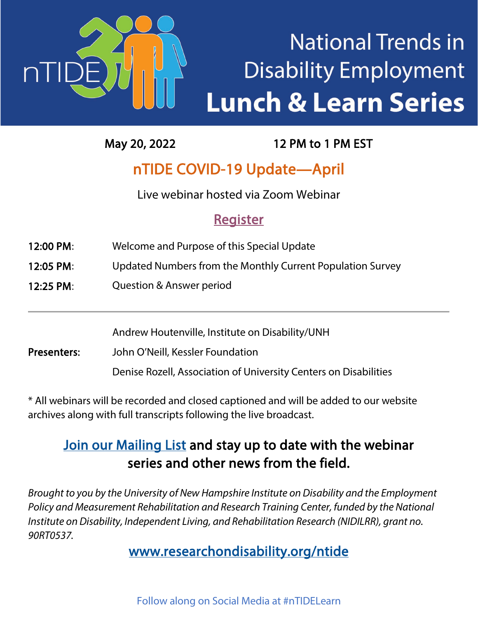

# **National Trends in Disability Employment Lunch & Learn Series**

May 20, 2022 12 PM to 1 PM EST

### nTIDE COVID-19 Update—April

Live webinar hosted via Zoom Webinar

### **Register**

- 12:00 PM: Welcome and Purpose of this Special Update
- 12:05 PM: Updated Numbers from the Monthly Current Population Survey
- 12:25 PM: Question & Answer period

Andrew Houtenville, Institute on Disability/UNH

Presenters: John O'Neill, Kessler Foundation

Denise Rozell, Association of University Centers on Disabilities

\* All webinars will be recorded and closed captioned and will be added to our website archives along with full transcripts following the live broadcast.

### [Join our Mailing List](https://www.researchondisability.org/subscribe) and stay up to date with the webinar series and other news from the field.

*Brought to you by the University of New Hampshire Institute on Disability and the Employment Policy and Measurement Rehabilitation and Research Training Center, funded by the National Institute on Disability, Independent Living, and Rehabilitation Research (NIDILRR), grant no. 90RT0537.*

#### [www.researchondisability.org/ntide](http://www.researchondisability.org/ntide)

Follow along on Social Media at #nTIDELearn